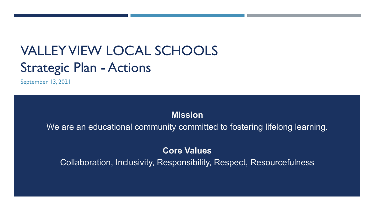# VALLEY VIEW LOCAL SCHOOLS Strategic Plan - Actions

September 13, 2021

### **Mission**

We are an educational community committed to fostering lifelong learning.

## **Core Values**

Collaboration, Inclusivity, Responsibility, Respect, Resourcefulness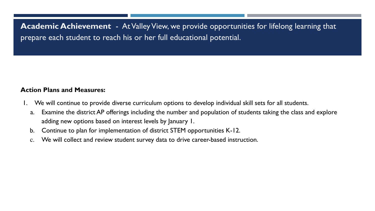**Academic Achievement** - At Valley View, we provide opportunities for lifelong learning that prepare each student to reach his or her full educational potential.

- 1. We will continue to provide diverse curriculum options to develop individual skill sets for all students.
	- a. Examine the district AP offerings including the number and population of students taking the class and explore adding new options based on interest levels by January 1.
	- b. Continue to plan for implementation of district STEM opportunities K-12.
	- c. We will collect and review student survey data to drive career-based instruction.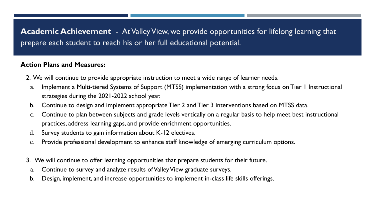**Academic Achievement** - At Valley View, we provide opportunities for lifelong learning that prepare each student to reach his or her full educational potential.

- 2. We will continue to provide appropriate instruction to meet a wide range of learner needs.
	- a. Implement a Multi-tiered Systems of Support (MTSS) implementation with a strong focus on Tier 1 Instructional strategies during the 2021-2022 school year.
	- b. Continue to design and implement appropriate Tier 2 and Tier 3 interventions based on MTSS data.
	- c. Continue to plan between subjects and grade levels vertically on a regular basis to help meet best instructional practices, address learning gaps, and provide enrichment opportunities.
	- d. Survey students to gain information about K-12 electives.
	- e. Provide professional development to enhance staff knowledge of emerging curriculum options.
- 3. We will continue to offer learning opportunities that prepare students for their future.
- a. Continue to survey and analyze results of Valley View graduate surveys.
- b. Design, implement, and increase opportunities to implement in-class life skills offerings.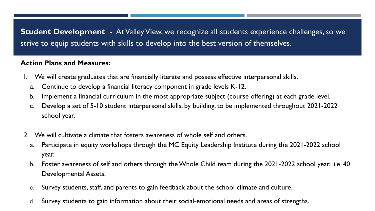**Student Development** - At Valley View, we recognize all students experience challenges, so we strive to equip students with skills to develop into the best version of themselves.

- 1. We will create graduates that are financially literate and possess effective interpersonal skills.
	- a. Continue to develop a financial literacy component in grade levels K-12.
	- b. Implement a financial curriculum in the most appropriate subject (course offering) at each grade level.
	- c. Develop a set of 5-10 student interpersonal skills, by building, to be implemented throughout 2021-2022 school year.
- 2. We will cultivate a climate that fosters awareness of whole self and others.
	- a. Participate in equity workshops through the MC Equity Leadership Institute during the 2021-2022 school year.
	- b. Foster awareness of self and others through the Whole Child team during the 2021-2022 school year. i.e. 40 Developmental Assets.
	- c. Survey students, staff, and parents to gain feedback about the school climate and culture.
	- d. Survey students to gain information about their social-emotional needs and areas of strengths.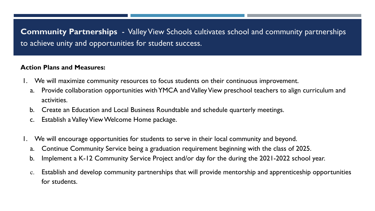**Community Partnerships** - Valley View Schools cultivates school and community partnerships to achieve unity and opportunities for student success.

- 1. We will maximize community resources to focus students on their continuous improvement.
	- a. Provide collaboration opportunities with YMCA and Valley View preschool teachers to align curriculum and activities.
	- b. Create an Education and Local Business Roundtable and schedule quarterly meetings.
	- c. Establish a Valley View Welcome Home package.
- We will encourage opportunities for students to serve in their local community and beyond.
	- a. Continue Community Service being a graduation requirement beginning with the class of 2025.
- b. Implement a K-12 Community Service Project and/or day for the during the 2021-2022 school year.
- c. Establish and develop community partnerships that will provide mentorship and apprenticeship opportunities for students.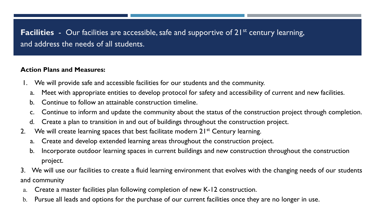# **Facilities** - Our facilities are accessible, safe and supportive of 21<sup>st</sup> century learning, and address the needs of all students.

- 1. We will provide safe and accessible facilities for our students and the community.
	- a. Meet with appropriate entities to develop protocol for safety and accessibility of current and new facilities.
	- b. Continue to follow an attainable construction timeline.
	- c. Continue to inform and update the community about the status of the construction project through completion.
	- d. Create a plan to transition in and out of buildings throughout the construction project.
- 2. We will create learning spaces that best facilitate modern 21<sup>st</sup> Century learning.
	- a. Create and develop extended learning areas throughout the construction project.
	- b. Incorporate outdoor learning spaces in current buildings and new construction throughout the construction project.
- 3. We will use our facilities to create a fluid learning environment that evolves with the changing needs of our students and community
- a. Create a master facilities plan following completion of new K-12 construction.
- b. Pursue all leads and options for the purchase of our current facilities once they are no longer in use.